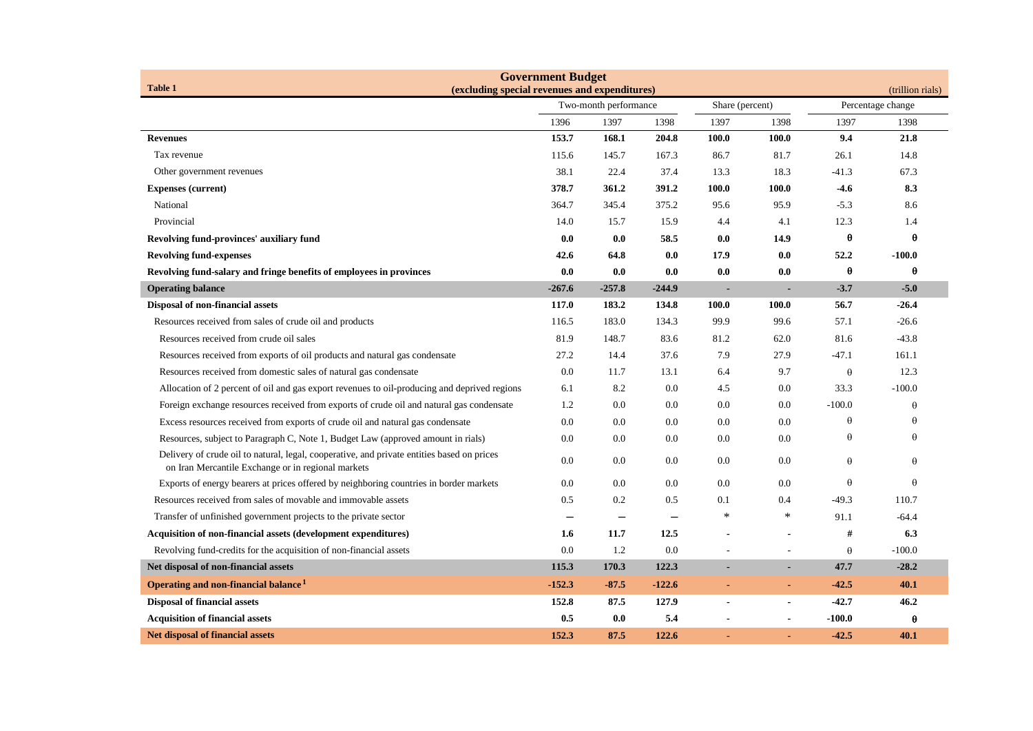| <b>Government Budget</b>                                                                                                                         |                                               |               |                                 |                |                                   |                  |          |  |
|--------------------------------------------------------------------------------------------------------------------------------------------------|-----------------------------------------------|---------------|---------------------------------|----------------|-----------------------------------|------------------|----------|--|
| <b>Table 1</b>                                                                                                                                   | (excluding special revenues and expenditures) |               |                                 |                |                                   | (trillion rials) |          |  |
|                                                                                                                                                  | Two-month performance                         |               | Share (percent)<br>1398<br>1397 |                | Percentage change<br>1397<br>1398 |                  |          |  |
| <b>Revenues</b>                                                                                                                                  | 1396<br>153.7                                 | 1397<br>168.1 | 1398<br>204.8                   | 100.0          | 100.0                             | 9.4              | 21.8     |  |
| Tax revenue                                                                                                                                      | 115.6                                         | 145.7         | 167.3                           | 86.7           | 81.7                              | 26.1             | 14.8     |  |
| Other government revenues                                                                                                                        | 38.1                                          | 22.4          | 37.4                            | 13.3           | 18.3                              | $-41.3$          | 67.3     |  |
| <b>Expenses (current)</b>                                                                                                                        | 378.7                                         | 361.2         | 391.2                           | 100.0          | 100.0                             | $-4.6$           | 8.3      |  |
| National                                                                                                                                         | 364.7                                         | 345.4         | 375.2                           | 95.6           | 95.9                              | $-5.3$           | 8.6      |  |
| Provincial                                                                                                                                       | 14.0                                          | 15.7          | 15.9                            | 4.4            | 4.1                               | 12.3             | 1.4      |  |
| Revolving fund-provinces' auxiliary fund                                                                                                         | 0.0                                           | 0.0           | 58.5                            | 0.0            | 14.9                              | $\theta$         | $\theta$ |  |
| <b>Revolving fund-expenses</b>                                                                                                                   | 42.6                                          | 64.8          | 0.0                             | 17.9           | 0.0                               | 52.2             | $-100.0$ |  |
| Revolving fund-salary and fringe benefits of employees in provinces                                                                              | 0.0                                           | 0.0           | 0.0                             | 0.0            | 0.0                               | $\theta$         | θ        |  |
| <b>Operating balance</b>                                                                                                                         | $-267.6$                                      | $-257.8$      | $-244.9$                        | $\blacksquare$ | ÷                                 | $-3.7$           | $-5.0$   |  |
| Disposal of non-financial assets                                                                                                                 | 117.0                                         | 183.2         | 134.8                           | 100.0          | 100.0                             | 56.7             | $-26.4$  |  |
| Resources received from sales of crude oil and products                                                                                          | 116.5                                         | 183.0         | 134.3                           | 99.9           | 99.6                              | 57.1             | $-26.6$  |  |
| Resources received from crude oil sales                                                                                                          | 81.9                                          | 148.7         | 83.6                            | 81.2           | 62.0                              | 81.6             | $-43.8$  |  |
| Resources received from exports of oil products and natural gas condensate                                                                       | 27.2                                          | 14.4          | 37.6                            | 7.9            | 27.9                              | $-47.1$          | 161.1    |  |
| Resources received from domestic sales of natural gas condensate                                                                                 | 0.0                                           | 11.7          | 13.1                            | 6.4            | 9.7                               | $\theta$         | 12.3     |  |
| Allocation of 2 percent of oil and gas export revenues to oil-producing and deprived regions                                                     | 6.1                                           | 8.2           | 0.0                             | 4.5            | 0.0                               | 33.3             | $-100.0$ |  |
| Foreign exchange resources received from exports of crude oil and natural gas condensate                                                         | 1.2                                           | 0.0           | 0.0                             | 0.0            | 0.0                               | $-100.0$         | $\theta$ |  |
| Excess resources received from exports of crude oil and natural gas condensate                                                                   | 0.0                                           | 0.0           | 0.0                             | 0.0            | 0.0                               | $\theta$         | $\theta$ |  |
| Resources, subject to Paragraph C, Note 1, Budget Law (approved amount in rials)                                                                 | 0.0                                           | 0.0           | 0.0                             | 0.0            | 0.0                               | $\theta$         | $\theta$ |  |
| Delivery of crude oil to natural, legal, cooperative, and private entities based on prices<br>on Iran Mercantile Exchange or in regional markets | 0.0                                           | 0.0           | 0.0                             | 0.0            | 0.0                               | $\theta$         | $\theta$ |  |
| Exports of energy bearers at prices offered by neighboring countries in border markets                                                           | 0.0                                           | 0.0           | 0.0                             | 0.0            | 0.0                               | $\theta$         | $\theta$ |  |
| Resources received from sales of movable and immovable assets                                                                                    | 0.5                                           | $0.2\,$       | 0.5                             | 0.1            | 0.4                               | $-49.3$          | 110.7    |  |
| Transfer of unfinished government projects to the private sector                                                                                 |                                               |               |                                 | ∗              | $\ast$                            | 91.1             | $-64.4$  |  |
| <b>Acquisition of non-financial assets (development expenditures)</b>                                                                            | 1.6                                           | 11.7          | 12.5                            |                |                                   | #                | 6.3      |  |
| Revolving fund-credits for the acquisition of non-financial assets                                                                               | 0.0                                           | 1.2           | 0.0                             |                |                                   | $\theta$         | $-100.0$ |  |
| Net disposal of non-financial assets                                                                                                             | 115.3                                         | 170.3         | 122.3                           |                |                                   | 47.7             | $-28.2$  |  |
| Operating and non-financial balance <sup>1</sup>                                                                                                 | $-152.3$                                      | $-87.5$       | $-122.6$                        | ٠              | $\blacksquare$                    | $-42.5$          | 40.1     |  |
| <b>Disposal of financial assets</b>                                                                                                              | 152.8                                         | 87.5          | 127.9                           |                | $\blacksquare$                    | $-42.7$          | 46.2     |  |
| <b>Acquisition of financial assets</b>                                                                                                           | 0.5                                           | 0.0           | 5.4                             | $\overline{a}$ | $\blacksquare$                    | $-100.0$         | θ        |  |
| <b>Net disposal of financial assets</b>                                                                                                          | 152.3                                         | 87.5          | 122.6                           | ä,             |                                   | $-42.5$          | 40.1     |  |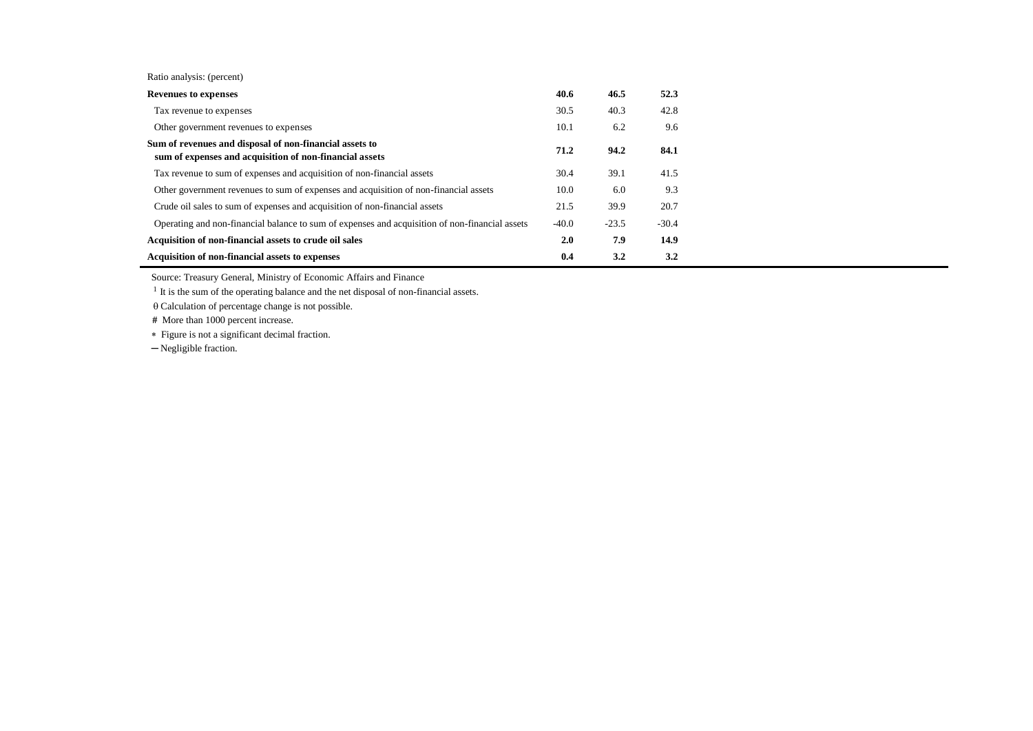Ratio analysis: (percent)

| <b>Revenues to expenses</b>                                                                                        | 40.6    | 46.5    | 52.3    |
|--------------------------------------------------------------------------------------------------------------------|---------|---------|---------|
| Tax revenue to expenses                                                                                            | 30.5    | 40.3    | 42.8    |
| Other government revenues to expenses                                                                              | 10.1    | 6.2     | 9.6     |
| Sum of revenues and disposal of non-financial assets to<br>sum of expenses and acquisition of non-financial assets |         | 94.2    | 84.1    |
| Tax revenue to sum of expenses and acquisition of non-financial assets                                             | 30.4    | 39.1    | 41.5    |
| Other government revenues to sum of expenses and acquisition of non-financial assets                               | 10.0    | 6.0     | 9.3     |
| Crude oil sales to sum of expenses and acquisition of non-financial assets                                         | 21.5    | 39.9    | 20.7    |
| Operating and non-financial balance to sum of expenses and acquisition of non-financial assets                     | $-40.0$ | $-23.5$ | $-30.4$ |
| Acquisition of non-financial assets to crude oil sales                                                             |         | 7.9     | 14.9    |
| Acquisition of non-financial assets to expenses                                                                    | 0.4     | 3.2     | 3.2     |

Source: Treasury General, Ministry of Economic Affairs and Finance

<sup>1</sup> It is the sum of the operating balance and the net disposal of non-financial assets.

 $\theta$  Calculation of percentage change is not possible.

**#** More than 1000 percent increase.

Figure is not a significant decimal fraction.

─ Negligible fraction.